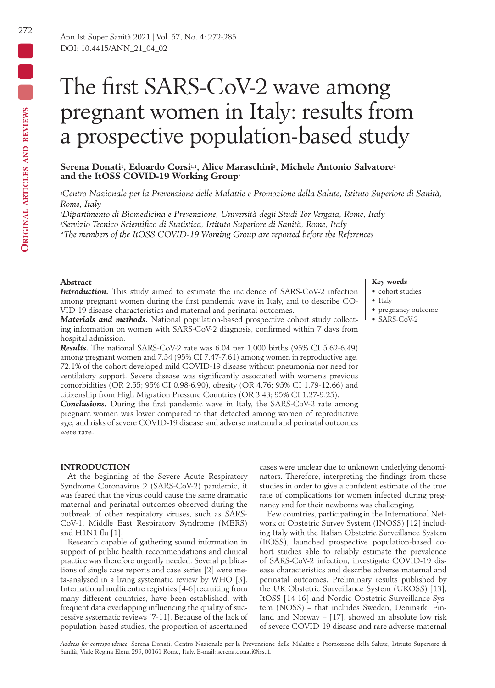# Serena Donati<sup>1</sup>, Edoardo Corsi<sup>1,2</sup>, Alice Maraschini<sup>3</sup>, Michele Antonio Salvatore<sup>1</sup> **and the ItOSS COVID-19 Working Group\***

*1Centro Nazionale per la Prevenzione delle Malattie e Promozione della Salute, Istituto Superiore di Sanità, Rome, Italy*

*2Dipartimento di Biomedicina e Prevenzione, Università degli Studi Tor Vergata, Rome, Italy*

*3Servizio Tecnico Scientifico di Statistica, Istituto Superiore di Sanità, Rome, Italy*

*\*The members of the ItOSS COVID-19 Working Group are reported before the References*

# **Abstract**

*Introduction.* This study aimed to estimate the incidence of SARS-CoV-2 infection among pregnant women during the first pandemic wave in Italy, and to describe CO-VID-19 disease characteristics and maternal and perinatal outcomes.

*Materials and methods.* National population-based prospective cohort study collecting information on women with SARS-CoV-2 diagnosis, confirmed within 7 days from hospital admission.

*Results.* The national SARS-CoV-2 rate was 6.04 per 1,000 births (95% CI 5.62-6.49) among pregnant women and 7.54 (95% CI 7.47-7.61) among women in reproductive age. 72.1% of the cohort developed mild COVID-19 disease without pneumonia nor need for ventilatory support. Severe disease was significantly associated with women's previous comorbidities (OR 2.55; 95% CI 0.98-6.90), obesity (OR 4.76; 95% CI 1.79-12.66) and citizenship from High Migration Pressure Countries (OR 3.43; 95% CI 1.27-9.25).

*Conclusions.* During the first pandemic wave in Italy, the SARS-CoV-2 rate among pregnant women was lower compared to that detected among women of reproductive age, and risks of severe COVID-19 disease and adverse maternal and perinatal outcomes were rare.

# **INTRODUCTION**

At the beginning of the Severe Acute Respiratory Syndrome Coronavirus 2 (SARS-CoV-2) pandemic, it was feared that the virus could cause the same dramatic maternal and perinatal outcomes observed during the outbreak of other respiratory viruses, such as SARS-CoV-1, Middle East Respiratory Syndrome (MERS) and H1N1 flu [1].

Research capable of gathering sound information in support of public health recommendations and clinical practice was therefore urgently needed. Several publications of single case reports and case series [2] were meta-analysed in a living systematic review by WHO [3]. International multicentre registries [4-6] recruiting from many different countries, have been established, with frequent data overlapping influencing the quality of successive systematic reviews [7-11]. Because of the lack of population-based studies, the proportion of ascertained

cases were unclear due to unknown underlying denominators. Therefore, interpreting the findings from these studies in order to give a confident estimate of the true rate of complications for women infected during pregnancy and for their newborns was challenging.

Few countries, participating in the International Network of Obstetric Survey System (INOSS) [12] including Italy with the Italian Obstetric Surveillance System (ItOSS), launched prospective population-based cohort studies able to reliably estimate the prevalence of SARS-CoV-2 infection, investigate COVID-19 disease characteristics and describe adverse maternal and perinatal outcomes. Preliminary results published by the UK Obstetric Surveillance System (UKOSS) [13], ItOSS [14-16] and Nordic Obstetric Surveillance System (NOSS) – that includes Sweden, Denmark, Finland and Norway – [17], showed an absolute low risk of severe COVID-19 disease and rare adverse maternal

#### *Address for correspondence:* Serena Donati, Centro Nazionale per la Prevenzione delle Malattie e Promozione della Salute, Istituto Superiore di Sanità, Viale Regina Elena 299, 00161 Rome, Italy. E-mail: serena.donati@iss.it.

# **Key words**

- cohort studies
- Italy
- pregnancy outcome
- SARS-CoV-2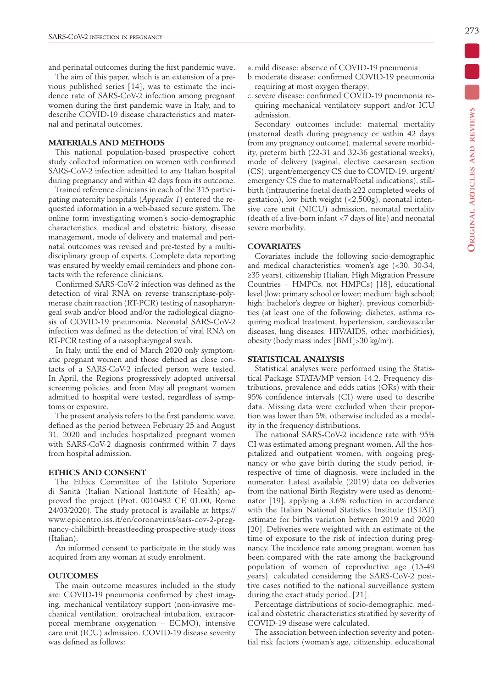and perinatal outcomes during the first pandemic wave.

The aim of this paper, which is an extension of a previous published series [14], was to estimate the incidence rate of SARS-CoV-2 infection among pregnant women during the first pandemic wave in Italy, and to describe COVID-19 disease characteristics and maternal and perinatal outcomes.

# **MATERIALS AND METHODS**

This national population-based prospective cohort study collected information on women with confirmed SARS-CoV-2 infection admitted to any Italian hospital during pregnancy and within 42 days from its outcome.

Trained reference clinicians in each of the 315 participating maternity hospitals (*Appendix 1*) entered the requested information in a web-based secure system. The online form investigating women's socio-demographic characteristics, medical and obstetric history, disease management, mode of delivery and maternal and perinatal outcomes was revised and pre-tested by a multidisciplinary group of experts. Complete data reporting was ensured by weekly email reminders and phone contacts with the reference clinicians.

Confirmed SARS-CoV-2 infection was defined as the detection of viral RNA on reverse transcriptase-polymerase chain reaction (RT-PCR) testing of nasopharyngeal swab and/or blood and/or the radiological diagnosis of COVID-19 pneumonia. Neonatal SARS-CoV-2 infection was defined as the detection of viral RNA on RT-PCR testing of a nasopharyngeal swab.

In Italy, until the end of March 2020 only symptomatic pregnant women and those defined as close contacts of a SARS-CoV-2 infected person were tested. In April, the Regions progressively adopted universal screening policies, and from May all pregnant women admitted to hospital were tested, regardless of symptoms or exposure.

The present analysis refers to the first pandemic wave, defined as the period between February 25 and August 31, 2020 and includes hospitalized pregnant women with SARS-CoV-2 diagnosis confirmed within 7 days from hospital admission.

# **ETHICS AND CONSENT**

The Ethics Committee of the Istituto Superiore di Sanità (Italian National Institute of Health) approved the project (Prot. 0010482 CE 01.00, Rome 24/03/2020). The study protocol is available at https:// www.epicentro.iss.it/en/coronavirus/sars-cov-2-pregnancy-childbirth-breastfeeding-prospective-study-itoss (Italian).

An informed consent to participate in the study was acquired from any woman at study enrolment.

### **OUTCOMES**

The main outcome measures included in the study are: COVID-19 pneumonia confirmed by chest imaging, mechanical ventilatory support (non-invasive mechanical ventilation, orotracheal intubation, extracorporeal membrane oxygenation – ECMO), intensive care unit (ICU) admission. COVID-19 disease severity was defined as follows:

- a. mild disease: absence of COVID-19 pneumonia;
- b.moderate disease: confirmed COVID-19 pneumonia requiring at most oxygen therapy;
- c. severe disease: confirmed COVID-19 pneumonia requiring mechanical ventilatory support and/or ICU admission.

Secondary outcomes include: maternal mortality (maternal death during pregnancy or within 42 days from any pregnancy outcome), maternal severe morbidity, preterm birth (22-31 and 32-36 gestational weeks), mode of delivery (vaginal, elective caesarean section (CS), urgent/emergency CS due to COVID-19, urgent/ emergency CS due to maternal/foetal indications), stillbirth (intrauterine foetal death ≥22 completed weeks of gestation), low birth weight  $\left( <2.500 \text{g} \right)$ , neonatal intensive care unit (NICU) admission, neonatal mortality (death of a live-born infant <7 days of life) and neonatal severe morbidity.

### **COVARIATES**

Covariates include the following socio-demographic and medical characteristics: women's age (<30, 30-34, ≥35 years), citizenship (Italian, High Migration Pressure Countries − HMPCs, not HMPCs) [18], educational level (low: primary school or lower; medium: high school; high: bachelor's degree or higher), previous comorbidities (at least one of the following: diabetes, asthma requiring medical treatment, hypertension, cardiovascular diseases, lung diseases, HIV/AIDS, other morbidities), obesity (body mass index [BMI]>30 kg/m2).

### **STATISTICAL ANALYSIS**

Statistical analyses were performed using the Statistical Package STATA/MP version 14.2. Frequency distributions, prevalence and odds ratios (ORs) with their 95% confidence intervals (CI) were used to describe data. Missing data were excluded when their proportion was lower than 5%, otherwise included as a modality in the frequency distributions.

The national SARS-CoV-2 incidence rate with 95% CI was estimated among pregnant women. All the hospitalized and outpatient women, with ongoing pregnancy or who gave birth during the study period, irrespective of time of diagnosis, were included in the numerator. Latest available (2019) data on deliveries from the national Birth Registry were used as denominator [19], applying a 3.6% reduction in accordance with the Italian National Statistics Institute (ISTAT) estimate for births variation between 2019 and 2020 [20]. Deliveries were weighted with an estimate of the time of exposure to the risk of infection during pregnancy. The incidence rate among pregnant women has been compared with the rate among the background population of women of reproductive age (15-49 years), calculated considering the SARS-CoV-2 positive cases notified to the national surveillance system during the exact study period. [21].

Percentage distributions of socio-demographic, medical and obstetric characteristics stratified by severity of COVID-19 disease were calculated.

The association between infection severity and potential risk factors (woman's age, citizenship, educational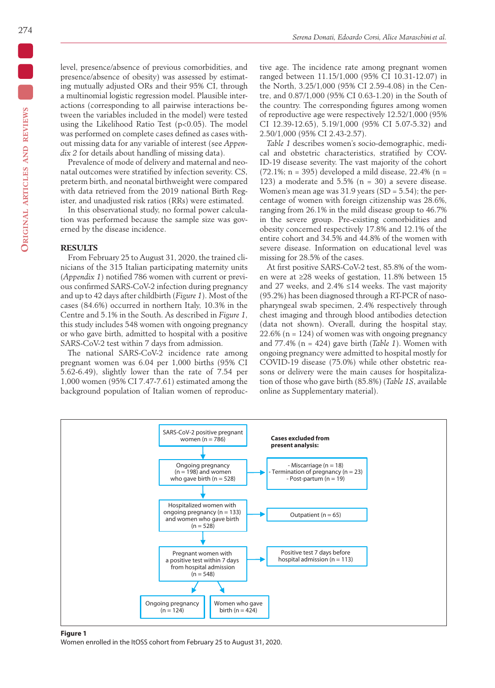level, presence/absence of previous comorbidities, and presence/absence of obesity) was assessed by estimating mutually adjusted ORs and their 95% CI, through a multinomial logistic regression model. Plausible interactions (corresponding to all pairwise interactions between the variables included in the model) were tested using the Likelihood Ratio Test  $(p<0.05)$ . The model was performed on complete cases defined as cases without missing data for any variable of interest (see *Appendix 2* for details about handling of missing data).

Prevalence of mode of delivery and maternal and neonatal outcomes were stratified by infection severity. CS, preterm birth, and neonatal birthweight were compared with data retrieved from the 2019 national Birth Register, and unadjusted risk ratios (RRs) were estimated.

In this observational study, no formal power calculation was performed because the sample size was governed by the disease incidence.

# **RESULTS**

From February 25 to August 31, 2020, the trained clinicians of the 315 Italian participating maternity units (*Appendix 1*) notified 786 women with current or previous confirmed SARS-CoV-2 infection during pregnancy and up to 42 days after childbirth (*Figure 1*). Most of the cases (84.6%) occurred in northern Italy, 10.3% in the Centre and 5.1% in the South. As described in *Figure 1*, this study includes 548 women with ongoing pregnancy or who gave birth, admitted to hospital with a positive SARS-CoV-2 test within 7 days from admission.

The national SARS-CoV-2 incidence rate among pregnant women was 6.04 per 1,000 births (95% CI 5.62-6.49), slightly lower than the rate of 7.54 per 1,000 women (95% CI 7.47-7.61) estimated among the background population of Italian women of reproductive age. The incidence rate among pregnant women ranged between 11.15/1,000 (95% CI 10.31-12.07) in the North, 3.25/1,000 (95% CI 2.59-4.08) in the Centre, and 0.87/1,000 (95% CI 0.63-1.20) in the South of the country. The corresponding figures among women of reproductive age were respectively 12.52/1,000 (95% CI 12.39-12.65), 5.19/1,000 (95% CI 5.07-5.32) and 2.50/1,000 (95% CI 2.43-2.57).

*Table 1* describes women's socio-demographic, medical and obstetric characteristics, stratified by COV-ID-19 disease severity. The vast majority of the cohort (72.1%;  $n = 395$ ) developed a mild disease, 22.4% ( $n =$ 123) a moderate and  $5.5\%$  (n = 30) a severe disease. Women's mean age was  $31.9$  years (SD =  $5.54$ ); the percentage of women with foreign citizenship was 28.6%, ranging from 26.1% in the mild disease group to 46.7% in the severe group. Pre-existing comorbidities and obesity concerned respectively 17.8% and 12.1% of the entire cohort and 34.5% and 44.8% of the women with severe disease. Information on educational level was missing for 28.5% of the cases.

At first positive SARS-CoV-2 test, 85.8% of the women were at ≥28 weeks of gestation, 11.8% between 15 and 27 weeks, and 2.4% ≤14 weeks. The vast majority (95.2%) has been diagnosed through a RT-PCR of nasopharyngeal swab specimen, 2.4% respectively through chest imaging and through blood antibodies detection (data not shown). Overall, during the hospital stay,  $22.6\%$  (n = 124) of women was with ongoing pregnancy and 77.4% (n = 424) gave birth (*Table 1*). Women with ongoing pregnancy were admitted to hospital mostly for COVID-19 disease (75.0%) while other obstetric reasons or delivery were the main causes for hospitalization of those who gave birth (85.8%) (*Table 1S*, available online as Supplementary material).



#### **Figure 1**

Women enrolled in the ItOSS cohort from February 25 to August 31, 2020.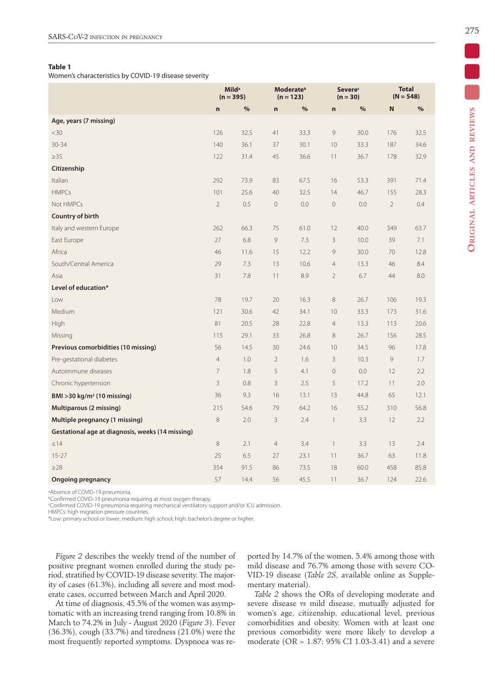# **Table 1**

Women's characteristics by COVID-19 disease severity

|                                                  | <b>Milda</b><br>$(n = 395)$ |               |                     | <b>Moderate</b> <sup>b</sup><br>$(n = 123)$ |                          | <b>Severe</b><br>$(n = 30)$ |                | <b>Total</b><br>$(N = 548)$ |  |
|--------------------------------------------------|-----------------------------|---------------|---------------------|---------------------------------------------|--------------------------|-----------------------------|----------------|-----------------------------|--|
|                                                  | $\mathbf n$                 | $\frac{0}{0}$ | $\mathbf n$         | $\%$                                        | n                        | $\%$                        | $\mathbf N$    | $\frac{0}{0}$               |  |
| Age, years (7 missing)                           |                             |               |                     |                                             |                          |                             |                |                             |  |
| $30$                                             | 126                         | 32.5          | 41                  | 33.3                                        | $\mathcal{G}$            | 30.0                        | 176            | 32.5                        |  |
| $30 - 34$                                        | 140                         | 36.1          | 37                  | 30.1                                        | 10                       | 33.3                        | 187            | 34.6                        |  |
| $\geq$ 35                                        | 122                         | 31.4          | 45                  | 36.6                                        | 11                       | 36.7                        | 178            | 32.9                        |  |
| Citizenship                                      |                             |               |                     |                                             |                          |                             |                |                             |  |
| Italian                                          | 292                         | 73.9          | 83                  | 67.5                                        | 16                       | 53.3                        | 391            | 71.4                        |  |
| <b>HMPCs</b>                                     | 101                         | 25.6          | 40                  | 32.5                                        | 14                       | 46.7                        | 155            | 28.3                        |  |
| Not HMPCs                                        | $\sqrt{2}$                  | 0.5           | $\mathsf{O}\xspace$ | 0.0                                         | $\mathbf 0$              | 0.0                         | $\overline{2}$ | 0.4                         |  |
| Country of birth                                 |                             |               |                     |                                             |                          |                             |                |                             |  |
| Italy and western Europe                         | 262                         | 66.3          | 75                  | 61.0                                        | 12                       | 40.0                        | 349            | 63.7                        |  |
| East Europe                                      | 27                          | 6.8           | 9                   | 7.3                                         | $\mathbf{3}$             | 10.0                        | 39             | 7.1                         |  |
| Africa                                           | 46                          | 11.6          | 15                  | 12.2                                        | 9                        | 30.0                        | 70             | 12.8                        |  |
| South/Central America                            | 29                          | 7.3           | 13                  | 10.6                                        | $\overline{4}$           | 13.3                        | 46             | 8.4                         |  |
| Asia                                             | 31                          | 7.8           | 11                  | 8.9                                         | $\overline{2}$           | 6.7                         | 44             | 8.0                         |  |
| Level of education*                              |                             |               |                     |                                             |                          |                             |                |                             |  |
| Low                                              | 78                          | 19.7          | 20                  | 16.3                                        | 8                        | 26.7                        | 106            | 19.3                        |  |
| Medium                                           | 121                         | 30.6          | 42                  | 34.1                                        | 10                       | 33.3                        | 173            | 31.6                        |  |
| High                                             | 81                          | 20.5          | 28                  | 22.8                                        | $\overline{4}$           | 13.3                        | 113            | 20.6                        |  |
| Missing                                          | 115                         | 29.1          | 33                  | 26.8                                        | $\,8\,$                  | 26.7                        | 156            | 28.5                        |  |
| Previous comorbidities (10 missing)              | 56                          | 14.5          | 30                  | 24.6                                        | 10                       | 34.5                        | 96             | 17.8                        |  |
| Pre-gestational diabetes                         | $\overline{4}$              | 1.0           | $\overline{2}$      | 1.6                                         | 3                        | 10.3                        | 9              | 1.7                         |  |
| Autoimmune diseases                              | $\overline{7}$              | 1.8           | 5                   | 4.1                                         | $\overline{0}$           | $0.0\,$                     | 12             | 2.2                         |  |
| Chronic hypertension                             | $\mathsf 3$                 | 0.8           | 3                   | 2.5                                         | 5                        | 17.2                        | 11             | 2.0                         |  |
| BMI > 30 kg/m <sup>2</sup> (10 missing)          | 36                          | 9.3           | 16                  | 13.1                                        | 13                       | 44.8                        | 65             | 12.1                        |  |
| <b>Multiparous (2 missing)</b>                   | 215                         | 54.6          | 79                  | 64.2                                        | 16                       | 55.2                        | 310            | 56.8                        |  |
| Multiple pregnancy (1 missing)                   | 8                           | 2.0           | $\mathsf 3$         | 2.4                                         | $\overline{\phantom{a}}$ | 3.3                         | 12             | 2.2                         |  |
| Gestational age at diagnosis, weeks (14 missing) |                             |               |                     |                                             |                          |                             |                |                             |  |
| $\leq$ 14                                        | $\,8\,$                     | 2.1           | $\overline{4}$      | 3.4                                         | $\overline{1}$           | 3.3                         | 13             | 2.4                         |  |
| $15 - 27$                                        | 25                          | 6.5           | 27                  | 23.1                                        | 11                       | 36.7                        | 63             | 11.8                        |  |
| $\geq$ 28                                        | 354                         | 91.5          | 86                  | 73.5                                        | 18                       | 60.0                        | 458            | 85.8                        |  |
| <b>Ongoing pregnancy</b>                         | 57                          | 14.4          | 56                  | 45.5                                        | 11                       | 36.7                        | 124            | 22.6                        |  |

aAbsence of COVID-19 pneumonia.

**bConfirmed COVID-19 pneumonia requiring at most oxygen therapy.** 

cConfirmed COVID-19 pneumonia requiring mechanical ventilatory support and/or ICU admission.

HMPCs: high migration pressure countries.

\*Low: primary school or lower; medium: high school; high: bachelor's degree or higher.

*Figure 2* describes the weekly trend of the number of positive pregnant women enrolled during the study period, stratified by COVID-19 disease severity. The majority of cases (61.3%), including all severe and most moderate cases, occurred between March and April 2020.

At time of diagnosis, 45.5% of the women was asymptomatic with an increasing trend ranging from 10.8% in March to 74.2% in July - August 2020 (*Figure 3*). Fever (36.3%), cough (33.7%) and tiredness (21.0%) were the most frequently reported symptoms. Dyspnoea was reported by 14.7% of the women, 5.4% among those with mild disease and 76.7% among those with severe CO-VID-19 disease (*Table 2S*, available online as Supplementary material).

*Table 2* shows the ORs of developing moderate and severe disease *vs* mild disease, mutually adjusted for women's age, citizenship, educational level, previous comorbidities and obesity. Women with at least one previous comorbidity were more likely to develop a moderate (OR = 1.87; 95% CI 1.03-3.41) and a severe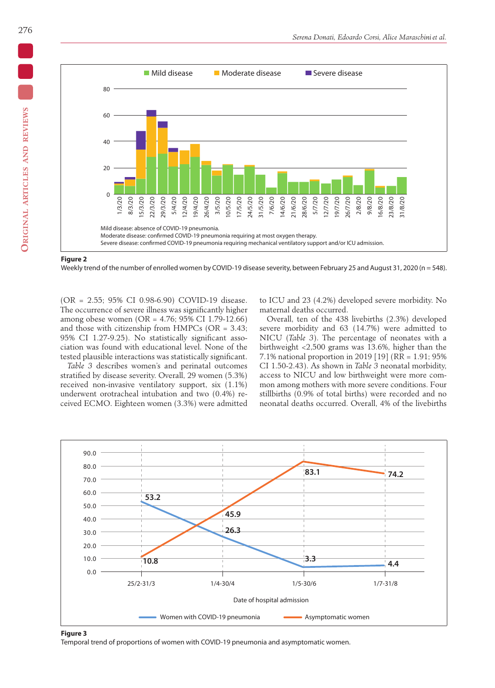

**Figure 2**

Weekly trend of the number of enrolled women by COVID-19 disease severity, between February 25 and August 31, 2020 (n = 548).

(OR = 2.55; 95% CI 0.98-6.90) COVID-19 disease. The occurrence of severe illness was significantly higher among obese women (OR = 4.76; 95% CI 1.79-12.66) and those with citizenship from HMPCs ( $OR = 3.43$ ; 95% CI 1.27-9.25). No statistically significant association was found with educational level. None of the tested plausible interactions was statistically significant.

*Table 3* describes women's and perinatal outcomes stratified by disease severity. Overall, 29 women (5.3%) received non-invasive ventilatory support, six (1.1%) underwent orotracheal intubation and two (0.4%) received ECMO. Eighteen women (3.3%) were admitted to ICU and 23 (4.2%) developed severe morbidity. No maternal deaths occurred.

Overall, ten of the 438 livebirths (2.3%) developed severe morbidity and 63 (14.7%) were admitted to NICU (*Table 3*). The percentage of neonates with a birthweight <2,500 grams was 13.6%, higher than the 7.1% national proportion in 2019 [19] (RR = 1.91; 95% CI 1.50-2.43). As shown in *Table 3* neonatal morbidity, access to NICU and low birthweight were more common among mothers with more severe conditions. Four stillbirths (0.9% of total births) were recorded and no neonatal deaths occurred. Overall, 4% of the livebirths



#### **Figure 3**

Temporal trend of proportions of women with COVID-19 pneumonia and asymptomatic women.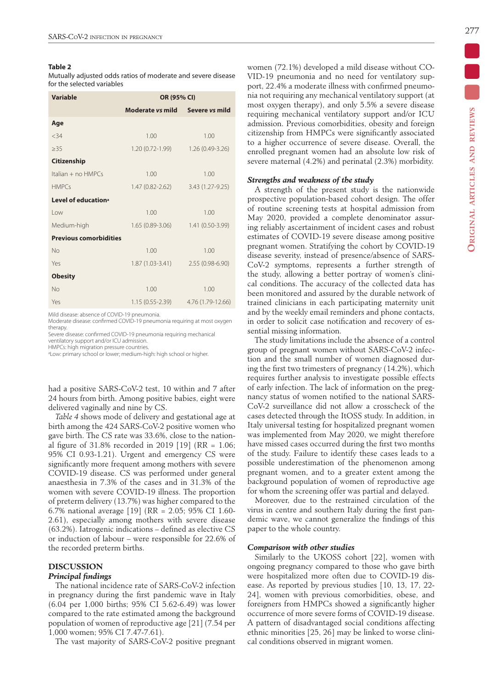### **Table 2**

Mutually adjusted odds ratios of moderate and severe disease for the selected variables

| <b>Variable</b>                 | OR (95% CI)         |                       |  |  |  |  |
|---------------------------------|---------------------|-----------------------|--|--|--|--|
|                                 | Moderate vs mild    | Severe <i>vs</i> mild |  |  |  |  |
| Age                             |                     |                       |  |  |  |  |
| < 34                            | 1.00                | 1.00                  |  |  |  |  |
| >35                             | 1.20 (0.72-1.99)    | 1.26 (0.49-3.26)      |  |  |  |  |
| <b>Citizenship</b>              |                     |                       |  |  |  |  |
| Italian $+$ no $HMPCs$          | 1.00                | 1.00                  |  |  |  |  |
| <b>HMPCs</b>                    | 1.47 (0.82-2.62)    | 3.43 (1.27-9.25)      |  |  |  |  |
| Level of education <sup>a</sup> |                     |                       |  |  |  |  |
| l ow                            | 1.00                | 1.00                  |  |  |  |  |
| Medium-high                     | $1.65(0.89-3.06)$   | 1.41 (0.50-3.99)      |  |  |  |  |
| <b>Previous comorbidities</b>   |                     |                       |  |  |  |  |
| No                              | 1.00                | 1.00                  |  |  |  |  |
| Yes                             | 1.87 (1.03-3.41)    | 2.55 (0.98-6.90)      |  |  |  |  |
| <b>Obesity</b>                  |                     |                       |  |  |  |  |
| No                              | 1.00                | 1.00                  |  |  |  |  |
| Yes                             | $1.15(0.55 - 2.39)$ | 4.76 (1.79-12.66)     |  |  |  |  |

Mild disease: absence of COVID-19 pneumonia.

Moderate disease: confirmed COVID-19 pneumonia requiring at most oxygen therapy.

Severe disease: confirmed COVID-19 pneumonia requiring mechanical ventilatory support and/or ICU admission.

HMPCs: high migration pressure countries.

aLow: primary school or lower; medium-high: high school or higher.

had a positive SARS-CoV-2 test, 10 within and 7 after 24 hours from birth. Among positive babies, eight were delivered vaginally and nine by CS.

*Table 4* shows mode of delivery and gestational age at birth among the 424 SARS-CoV-2 positive women who gave birth. The CS rate was 33.6%, close to the national figure of 31.8% recorded in 2019 [19] (RR = 1.06; 95% CI 0.93-1.21). Urgent and emergency CS were significantly more frequent among mothers with severe COVID-19 disease. CS was performed under general anaesthesia in 7.3% of the cases and in 31.3% of the women with severe COVID-19 illness. The proportion of preterm delivery (13.7%) was higher compared to the 6.7% national average [19] (RR = 2.05; 95% CI 1.60- 2.61), especially among mothers with severe disease (63.2%). Iatrogenic indications – defined as elective CS or induction of labour – were responsible for 22.6% of the recorded preterm births.

# **DISCUSSION**

#### *Principal findings*

The national incidence rate of SARS-CoV-2 infection in pregnancy during the first pandemic wave in Italy (6.04 per 1,000 births; 95% CI 5.62-6.49) was lower compared to the rate estimated among the background population of women of reproductive age [21] (7.54 per 1,000 women; 95% CI 7.47-7.61).

The vast majority of SARS-CoV-2 positive pregnant

ORIGINAL ARTICLES AND REVIEWS **Original articles and reviews**

# *Strengths and weakness of the study*

A strength of the present study is the nationwide prospective population-based cohort design. The offer of routine screening tests at hospital admission from May 2020, provided a complete denominator assuring reliably ascertainment of incident cases and robust estimates of COVID-19 severe disease among positive pregnant women. Stratifying the cohort by COVID-19 disease severity, instead of presence/absence of SARS-CoV-2 symptoms, represents a further strength of the study, allowing a better portray of women's clinical conditions. The accuracy of the collected data has been monitored and assured by the durable network of trained clinicians in each participating maternity unit and by the weekly email reminders and phone contacts, in order to solicit case notification and recovery of essential missing information.

women (72.1%) developed a mild disease without CO-VID-19 pneumonia and no need for ventilatory support, 22.4% a moderate illness with confirmed pneumonia not requiring any mechanical ventilatory support (at most oxygen therapy), and only 5.5% a severe disease requiring mechanical ventilatory support and/or ICU admission. Previous comorbidities, obesity and foreign citizenship from HMPCs were significantly associated to a higher occurrence of severe disease. Overall, the enrolled pregnant women had an absolute low risk of severe maternal (4.2%) and perinatal (2.3%) morbidity.

The study limitations include the absence of a control group of pregnant women without SARS-CoV-2 infection and the small number of women diagnosed during the first two trimesters of pregnancy (14.2%), which requires further analysis to investigate possible effects of early infection. The lack of information on the pregnancy status of women notified to the national SARS-CoV-2 surveillance did not allow a crosscheck of the cases detected through the ItOSS study. In addition, in Italy universal testing for hospitalized pregnant women was implemented from May 2020, we might therefore have missed cases occurred during the first two months of the study. Failure to identify these cases leads to a possible underestimation of the phenomenon among pregnant women, and to a greater extent among the background population of women of reproductive age for whom the screening offer was partial and delayed.

Moreover, due to the restrained circulation of the virus in centre and southern Italy during the first pandemic wave, we cannot generalize the findings of this paper to the whole country.

#### *Comparison with other studies*

Similarly to the UKOSS cohort [22], women with ongoing pregnancy compared to those who gave birth were hospitalized more often due to COVID-19 disease. As reported by previous studies [10, 13, 17, 22- 24], women with previous comorbidities, obese, and foreigners from HMPCs showed a significantly higher occurrence of more severe forms of COVID-19 disease. A pattern of disadvantaged social conditions affecting ethnic minorities [25, 26] may be linked to worse clinical conditions observed in migrant women.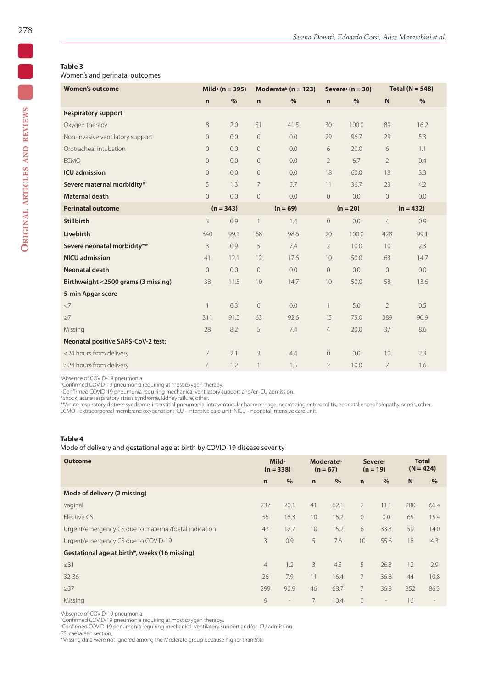# **Table 3**

Women's and perinatal outcomes

| <b>Women's outcome</b>              | Mild <sup>a</sup> ( $n = 395$ ) |      | Moderate <sup>b</sup> ( $n = 123$ ) |      | Severe $(n = 30)$ |       | Total ( $N = 548$ ) |               |
|-------------------------------------|---------------------------------|------|-------------------------------------|------|-------------------|-------|---------------------|---------------|
|                                     | $\mathsf{n}$                    | $\%$ | $\mathbf n$                         | $\%$ | $\mathbf n$       | $\%$  | N                   | $\frac{0}{0}$ |
| <b>Respiratory support</b>          |                                 |      |                                     |      |                   |       |                     |               |
| Oxygen therapy                      | 8                               | 2.0  | 51                                  | 41.5 | 30                | 100.0 | 89                  | 16.2          |
| Non-invasive ventilatory support    | $\mathbf 0$                     | 0.0  | $\sqrt{a}$                          | 0.0  | 29                | 96.7  | 29                  | 5.3           |
| Orotracheal intubation              | $\overline{0}$                  | 0.0  | $\overline{0}$                      | 0.0  | 6                 | 20.0  | 6                   | 1.1           |
| <b>ECMO</b>                         | $\mathbf 0$                     | 0.0  | 0                                   | 0.0  | $\overline{2}$    | 6.7   | $\overline{2}$      | 0.4           |
| <b>ICU</b> admission                | $\overline{0}$                  | 0.0  | $\overline{0}$                      | 0.0  | 18                | 60.0  | 18                  | 3.3           |
| Severe maternal morbidity*          | 5                               | 1.3  | 7                                   | 5.7  | 11                | 36.7  | 23                  | 4.2           |
| <b>Maternal death</b>               | $\overline{0}$                  | 0.0  | $\mathbf 0$                         | 0.0  | $\mathbf 0$       | 0.0   | $\overline{0}$      | 0.0           |
| <b>Perinatal outcome</b>            | $(n = 343)$                     |      | $(n = 69)$                          |      | $(n = 20)$        |       | $(n = 432)$         |               |
| <b>Stillbirth</b>                   | 3                               | 0.9  | $\mathbf{1}$                        | 1.4  | $\mathbf 0$       | 0.0   | $\overline{4}$      | 0.9           |
| Livebirth                           | 340                             | 99.1 | 68                                  | 98.6 | 20                | 100.0 | 428                 | 99.1          |
| Severe neonatal morbidity**         | 3                               | 0.9  | 5                                   | 7.4  | $\overline{2}$    | 10.0  | 10                  | 2.3           |
| <b>NICU</b> admission               | 41                              | 12.1 | 12                                  | 17.6 | 10                | 50.0  | 63                  | 14.7          |
| Neonatal death                      | $\overline{0}$                  | 0.0  | 0                                   | 0.0  | $\circ$           | 0.0   | $\mathbf{0}$        | 0.0           |
| Birthweight <2500 grams (3 missing) | 38                              | 11.3 | 10                                  | 14.7 | 10                | 50.0  | 58                  | 13.6          |
| 5-min Apgar score                   |                                 |      |                                     |      |                   |       |                     |               |
| $<$ 7                               | 1                               | 0.3  | $\mathbf 0$                         | 0.0  | $\mathbf{1}$      | 5.0   | $\overline{2}$      | 0.5           |
| >7                                  | 311                             | 91.5 | 63                                  | 92.6 | 15                | 75.0  | 389                 | 90.9          |
| Missing                             | 28                              | 8.2  | 5                                   | 7.4  | $\overline{4}$    | 20.0  | 37                  | 8.6           |
| Neonatal positive SARS-CoV-2 test:  |                                 |      |                                     |      |                   |       |                     |               |
| <24 hours from delivery             | 7                               | 2.1  | 3                                   | 4.4  | $\circ$           | 0.0   | 10                  | 2.3           |
| $\geq$ 24 hours from delivery       | $\overline{4}$                  | 1.2  | $\mathbf{1}$                        | 1.5  | $\overline{2}$    | 10.0  | $\overline{7}$      | 1.6           |

aAbsence of COVID-19 pneumonia.

**bConfirmed COVID-19 pneumonia requiring at most oxygen therapy.** 

°Confirmed COVID-19 pneumonia requiring mechanical ventilatory support and/or ICU admission.<br>\*Shock, acute respiratory stress syndrome, kidney failure, other.<br>\*\*Acute respiratory distress syndrome, interstitial pneumonia,

# **Table 4**

Mode of delivery and gestational age at birth by COVID-19 disease severity

| <b>Outcome</b>                                        | <b>Milda</b><br>$(n = 338)$ |                | <b>Moderate</b> <sup>b</sup><br>$(n = 67)$ |      | <b>Severed</b><br>$(n = 19)$ |                          | <b>Total</b><br>$(N = 424)$ |      |
|-------------------------------------------------------|-----------------------------|----------------|--------------------------------------------|------|------------------------------|--------------------------|-----------------------------|------|
|                                                       | $\mathbf n$                 | $\%$           | $\mathbf n$                                | $\%$ | $\mathbf n$                  | $\%$                     | N                           | $\%$ |
| Mode of delivery (2 missing)                          |                             |                |                                            |      |                              |                          |                             |      |
| Vaginal                                               | 237                         | 70.1           | 41                                         | 62.1 | $\mathcal{P}$                | 11.1                     | 280                         | 66.4 |
| Elective CS                                           | 55                          | 16.3           | 10                                         | 15.2 | $\circ$                      | 0.0                      | 65                          | 15.4 |
| Urgent/emergency CS due to maternal/foetal indication | 43                          | 12.7           | 10                                         | 15.2 | 6                            | 33.3                     | 59                          | 14.0 |
| Urgent/emergency CS due to COVID-19                   | $\overline{3}$              | 0.9            | 5                                          | 7.6  | 10                           | 55.6                     | 18                          | 4.3  |
| Gestational age at birth*, weeks (16 missing)         |                             |                |                                            |      |                              |                          |                             |      |
| $\leq$ 31                                             | $\overline{4}$              | 1.2            | 3                                          | 4.5  | 5                            | 26.3                     | 12                          | 2.9  |
| $32 - 36$                                             | 26                          | 7.9            | 11                                         | 16.4 | $7\overline{ }$              | 36.8                     | 44                          | 10.8 |
| $\geq$ 37                                             | 299                         | 90.9           | 46                                         | 68.7 | $\overline{7}$               | 36.8                     | 352                         | 86.3 |
| Missing                                               | 9                           | $\overline{a}$ | 7                                          | 10.4 | $\overline{0}$               | $\overline{\phantom{a}}$ | 16                          |      |

ªAbsence of COVID-19 pneumonia.<br>ʰConfirmed COVID-19 pneumonia requiring at most oxygen therapy..<br>℃onfirmed COVID-19 pneumonia requiring mechanical ventilatory support and/or ICU admission.

CS: caesarean section.

\*Missing data were not ignored among the Moderate group because higher than 5%.

 $\overline{\bullet}$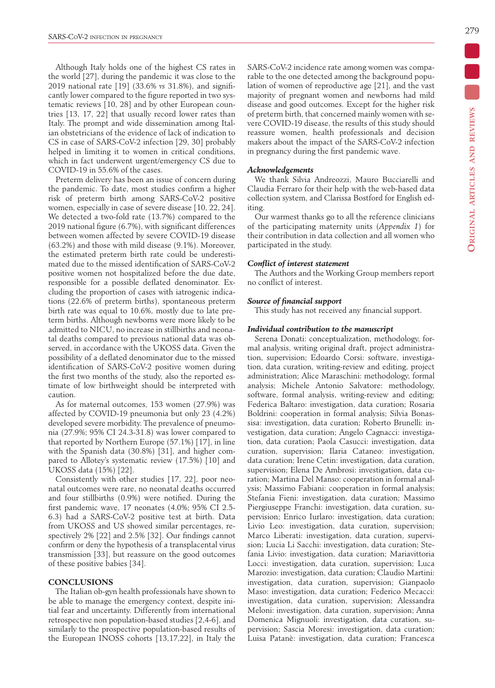Although Italy holds one of the highest CS rates in the world [27], during the pandemic it was close to the 2019 national rate [19] (33.6% *vs* 31.8%), and significantly lower compared to the figure reported in two systematic reviews [10, 28] and by other European countries [13, 17, 22] that usually record lower rates than Italy. The prompt and wide dissemination among Italian obstetricians of the evidence of lack of indication to CS in case of SARS-CoV-2 infection [29, 30] probably helped in limiting it to women in critical conditions, which in fact underwent urgent/emergency CS due to COVID-19 in 55.6% of the cases.

Preterm delivery has been an issue of concern during the pandemic. To date, most studies confirm a higher risk of preterm birth among SARS-CoV-2 positive women, especially in case of severe disease [10, 22, 24]. We detected a two-fold rate (13.7%) compared to the 2019 national figure (6.7%), with significant differences between women affected by severe COVID-19 disease (63.2%) and those with mild disease (9.1%). Moreover, the estimated preterm birth rate could be underestimated due to the missed identification of SARS-CoV-2 positive women not hospitalized before the due date, responsible for a possible deflated denominator. Excluding the proportion of cases with iatrogenic indications (22.6% of preterm births), spontaneous preterm birth rate was equal to 10.6%, mostly due to late preterm births. Although newborns were more likely to be admitted to NICU, no increase in stillbirths and neonatal deaths compared to previous national data was observed, in accordance with the UKOSS data. Given the possibility of a deflated denominator due to the missed identification of SARS-CoV-2 positive women during the first two months of the study, also the reported estimate of low birthweight should be interpreted with caution.

As for maternal outcomes, 153 women (27.9%) was affected by COVID-19 pneumonia but only 23 (4.2%) developed severe morbidity. The prevalence of pneumonia (27.9%; 95% CI 24.3-31.8) was lower compared to that reported by Northern Europe (57.1%) [17], in line with the Spanish data (30.8%) [31], and higher compared to Allotey's systematic review (17.5%) [10] and UKOSS data (15%) [22].

Consistently with other studies [17, 22], poor neonatal outcomes were rare, no neonatal deaths occurred and four stillbirths (0.9%) were notified. During the first pandemic wave, 17 neonates (4.0%; 95% CI 2.5- 6.3) had a SARS-CoV-2 positive test at birth. Data from UKOSS and US showed similar percentages, respectively 2% [22] and 2.5% [32]. Our findings cannot confirm or deny the hypothesis of a transplacental virus transmission [33], but reassure on the good outcomes of these positive babies [34].

### **CONCLUSIONS**

The Italian ob-gyn health professionals have shown to be able to manage the emergency context, despite initial fear and uncertainty. Differently from international retrospective non population-based studies [2,4-6], and similarly to the prospective population-based results of the European INOSS cohorts [13,17,22], in Italy the SARS-CoV-2 incidence rate among women was comparable to the one detected among the background population of women of reproductive age [21], and the vast majority of pregnant women and newborns had mild disease and good outcomes. Except for the higher risk of preterm birth, that concerned mainly women with severe COVID-19 disease, the results of this study should reassure women, health professionals and decision makers about the impact of the SARS-CoV-2 infection in pregnancy during the first pandemic wave.

## *Acknowledgements*

We thank Silvia Andreozzi, Mauro Bucciarelli and Claudia Ferraro for their help with the web-based data collection system, and Clarissa Bostford for English editing.

Our warmest thanks go to all the reference clinicians of the participating maternity units (*Appendix 1*) for their contribution in data collection and all women who participated in the study.

# *Conflict of interest statement*

The Authors and the Working Group members report no conflict of interest.

### *Source of financial support*

This study has not received any financial support.

#### *Individual contribution to the manuscript*

Serena Donati: conceptualization, methodology, formal analysis, writing original draft, project administration, supervision; Edoardo Corsi: software, investigation, data curation, writing-review and editing, project administration; Alice Maraschini: methodology, formal analysis; Michele Antonio Salvatore: methodology, software, formal analysis, writing-review and editing; Federica Baltaro: investigation, data curation; Rosaria Boldrini: cooperation in formal analysis; Silvia Bonassisa: investigation, data curation; Roberto Brunelli: investigation, data curation; Angelo Cagnacci: investigation, data curation; Paola Casucci: investigation, data curation, supervision; Ilaria Cataneo: investigation, data curation; Irene Cetin: investigation, data curation, supervision; Elena De Ambrosi: investigation, data curation; Martina Del Manso: cooperation in formal analysis; Massimo Fabiani: cooperation in formal analysis; Stefania Fieni: investigation, data curation; Massimo Piergiuseppe Franchi: investigation, data curation, supervision; Enrico Iurlaro: investigation, data curation; Livio Leo: investigation, data curation, supervision; Marco Liberati: investigation, data curation, supervision; Lucia Li Sacchi: investigation, data curation; Stefania Livio: investigation, data curation; Mariavittoria Locci: investigation, data curation, supervision; Luca Marozio: investigation, data curation; Claudio Martini: investigation, data curation, supervision; Gianpaolo Maso: investigation, data curation; Federico Mecacci: investigation, data curation, supervision; Alessandra Meloni: investigation, data curation, supervision; Anna Domenica Mignuoli: investigation, data curation, supervision; Sascia Moresi: investigation, data curation; Luisa Patanè: investigation, data curation; Francesca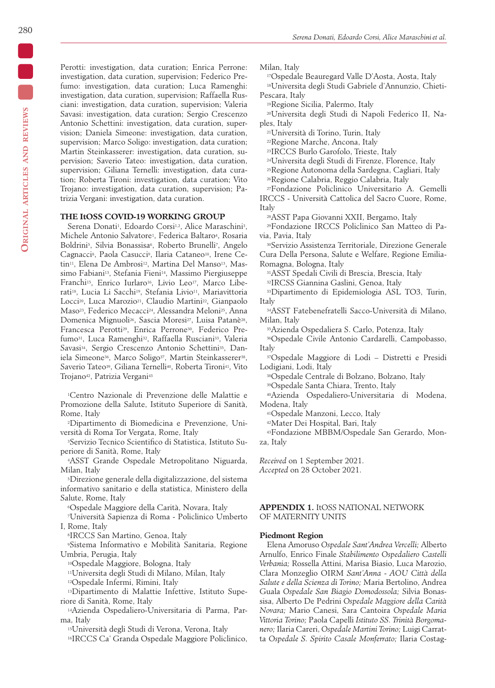Perotti: investigation, data curation; Enrica Perrone: investigation, data curation, supervision; Federico Prefumo: investigation, data curation; Luca Ramenghi: investigation, data curation, supervision; Raffaella Rusciani: investigation, data curation, supervision; Valeria Savasi: investigation, data curation; Sergio Crescenzo Antonio Schettini: investigation, data curation, supervision; Daniela Simeone: investigation, data curation, supervision; Marco Soligo: investigation, data curation; Martin Steinkasserer: investigation, data curation, supervision; Saverio Tateo: investigation, data curation, supervision; Giliana Ternelli: investigation, data curation; Roberta Tironi: investigation, data curation; Vito Trojano: investigation, data curation, supervision; Patrizia Vergani: investigation, data curation.

# **THE ItOSS COVID-19 WORKING GROUP**

Serena Donati<sup>1</sup>, Edoardo Corsi<sup>1,2</sup>, Alice Maraschini<sup>3</sup>, Michele Antonio Salvatore1, Federica Baltaro4, Rosaria Boldrini<sup>5</sup>, Silvia Bonassisa<sup>6</sup>, Roberto Brunelli<sup>7</sup>, Angelo Cagnacci<sup>8</sup>, Paola Casucci<sup>9</sup>, Ilaria Cataneo<sup>10</sup>, Irene Cetin<sup>11</sup>, Elena De Ambrosi<sup>12</sup>, Martina Del Manso<sup>13</sup>, Massimo Fabiani<sup>13</sup>, Stefania Fieni<sup>14</sup>, Massimo Piergiuseppe Franchi<sup>15</sup>, Enrico Iurlaro<sup>16</sup>, Livio Leo<sup>17</sup>, Marco Liberati<sup>18</sup>, Lucia Li Sacchi<sup>19</sup>, Stefania Livio<sup>11</sup>, Mariavittoria Locci<sup>20</sup>, Luca Marozio<sup>21</sup>, Claudio Martini<sup>22</sup>, Gianpaolo Maso<sup>23</sup>, Federico Mecacci<sup>24</sup>, Alessandra Meloni<sup>25</sup>, Anna Domenica Mignuoli<sup>26</sup>, Sascia Moresi<sup>27</sup>, Luisa Patanè<sup>28</sup>, Francesca Perotti29, Enrica Perrone30, Federico Prefumo<sup>31</sup>, Luca Ramenghi<sup>32</sup>, Raffaella Rusciani<sup>33</sup>, Valeria Savasi34, Sergio Crescenzo Antonio Schettini35, Daniela Simeone<sup>36</sup>, Marco Soligo<sup>37</sup>, Martin Steinkasserer<sup>38</sup>, Saverio Tateo<sup>39</sup>, Giliana Ternelli<sup>40</sup>, Roberta Tironi<sup>41</sup>, Vito Trojano42, Patrizia Vergani43

1Centro Nazionale di Prevenzione delle Malattie e Promozione della Salute, Istituto Superiore di Sanità, Rome, Italy

2Dipartimento di Biomedicina e Prevenzione, Università di Roma Tor Vergata, Rome, Italy

3Servizio Tecnico Scientifico di Statistica, Istituto Superiore di Sanità, Rome, Italy

4ASST Grande Ospedale Metropolitano Niguarda, Milan, Italy

5Direzione generale della digitalizzazione, del sistema informativo sanitario e della statistica, Ministero della Salute, Rome, Italy

6Ospedale Maggiore della Carità, Novara, Italy

7Università Sapienza di Roma - Policlinico Umberto I, Rome, Italy

8IRCCS San Martino, Genoa, Italy

9Sistema Informativo e Mobilità Sanitaria, Regione Umbria, Perugia, Italy

10Ospedale Maggiore, Bologna, Italy

11Universita degli Studi di Milano, Milan, Italy

12Ospedale Infermi, Rimini, Italy

13Dipartimento di Malattie Infettive, Istituto Superiore di Sanità, Rome, Italy

14Azienda Ospedaliero-Universitaria di Parma, Parma, Italy

15Università degli Studi di Verona, Verona, Italy 16IRCCS Ca' Granda Ospedale Maggiore Policlinico, Milan, Italy

17Ospedale Beauregard Valle D'Aosta, Aosta, Italy

18Universita degli Studi Gabriele d'Annunzio, Chieti-Pescara, Italy

19Regione Sicilia, Palermo, Italy

20Universita degli Studi di Napoli Federico II, Naples, Italy

21Università di Torino, Turin, Italy

22Regione Marche, Ancona, Italy

23IRCCS Burlo Garofolo, Trieste, Italy

24Universita degli Studi di Firenze, Florence, Italy

25Regione Autonoma della Sardegna, Cagliari, Italy

26Regione Calabria, Reggio Calabria, Italy

27Fondazione Policlinico Universitario A. Gemelli IRCCS - Università Cattolica del Sacro Cuore, Rome, Italy

28ASST Papa Giovanni XXII, Bergamo, Italy

29Fondazione IRCCS Policlinico San Matteo di Pavia, Pavia, Italy

30Servizio Assistenza Territoriale, Direzione Generale Cura Della Persona, Salute e Welfare, Regione Emilia-Romagna, Bologna, Italy

31ASST Spedali Civili di Brescia, Brescia, Italy

32IRCSS Giannina Gaslini, Genoa, Italy

33Dipartimento di Epidemiologia ASL TO3, Turin, Italy

34ASST Fatebenefratelli Sacco-Università di Milano, Milan, Italy

35Azienda Ospedaliera S. Carlo, Potenza, Italy

36Ospedale Civile Antonio Cardarelli, Campobasso, Italy

37Ospedale Maggiore di Lodi – Distretti e Presidi Lodigiani, Lodi, Italy

38Ospedale Centrale di Bolzano, Bolzano, Italy

39Ospedale Santa Chiara, Trento, Italy

40Azienda Ospedaliero-Universitaria di Modena, Modena, Italy

41Ospedale Manzoni, Lecco, Italy

42Mater Dei Hospital, Bari, Italy

43Fondazione MBBM/Ospedale San Gerardo, Monza, Italy

*Received* on 1 September 2021.

*Accepted* on 28 October 2021.

# **APPENDIX 1.** ItOSS NATIONAL NETWORK OF MATERNITY UNITS

## **Piedmont Region**

Elena Amoruso *Ospedale Sant'Andrea Vercelli;* Alberto Arnulfo, Enrico Finale *Stabilimento Ospedaliero Castelli Verbania;* Rossella Attini, Marisa Biasio, Luca Marozio, Clara Monzeglio OIRM *Sant'Anna - AOU Città della Salute e della Scienza di Torino;* Maria Bertolino, Andrea Guala *Ospedale San Biagio Domodossola;* Silvia Bonassisa, Alberto De Pedrini *Ospedale Maggiore della Carità Novara;* Mario Canesi, Sara Cantoira *Ospedale Maria Vittoria Torino;* Paola Capelli *Istituto SS. Trinità Borgomanero;* Ilaria Careri, *Ospedale Martini Torino;* Luigi Carratta *Ospedale S. Spirito Casale Monferrato;* Ilaria Costag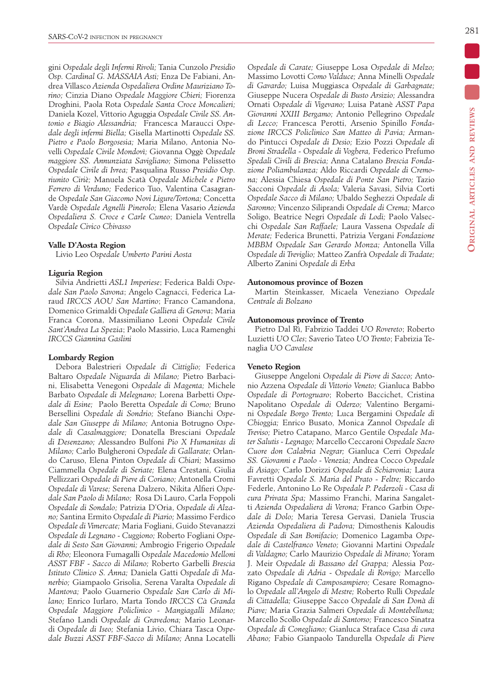gini *Ospedale degli Infermi Rivoli;* Tania Cunzolo *Presidio Osp. Cardinal G. MASSAIA Asti;* Enza De Fabiani, Andrea Villasco *Azienda Ospedaliera Ordine Mauriziano Torino;* Cinzia Diano *Ospedale Maggiore Chieri;* Fiorenza Droghini, Paola Rota *Ospedale Santa Croce Moncalieri;*  Daniela Kozel, Vittorio Aguggia *Ospedale Civile SS. Antonio e Biagio Alessandria;* Francesca Maraucci *Ospedale degli infermi Biella;* Gisella Martinotti *Ospedale SS. Pietro e Paolo Borgosesia;* Maria Milano, Antonia Novelli *Ospedale Civile Mondovì;* Giovanna Oggè *Ospedale maggiore SS. Annunziata Savigliano;* Simona Pelissetto *Ospedale Civile di Ivrea;* Pasqualina Russo *Presidio Osp. riunito Ciriè;* Manuela Scatà *Ospedale Michele e Pietro Ferrero di Verduno;* Federico Tuo, Valentina Casagrande *Ospedale San Giacomo Novi Ligure/Tortona;* Concetta Vardè *Ospedale Agnelli Pinerolo;* Elena Vasario *Azienda Ospedaliera S. Croce e Carle Cuneo*; Daniela Ventrella *Ospedale Civico Chivasso*

# **Valle D'Aosta Region**

Livio Leo *Ospedale Umberto Parini Aosta*

# **Liguria Region**

Silvia Andrietti *ASL1 Imperiese*; Federica Baldi *Ospedale San Paolo Savona*; Angelo Cagnacci, Federica Laraud *IRCCS AOU San Martino*; Franco Camandona, Domenico Grimaldi *Ospedale Galliera di Genova*; Maria Franca Corona, Massimiliano Leoni *Ospedale Civile Sant'Andrea La Spezia*; Paolo Massirio, Luca Ramenghi *IRCCS Giannina Gaslini*

# **Lombardy Region**

Debora Balestrieri *Ospedale di Cittiglio;* Federica Baltaro *Ospedale Niguarda di Milano;* Pietro Barbacini, Elisabetta Venegoni *Ospedale di Magenta;* Michele Barbato *Ospedale di Melegnano;* Lorena Barbetti *Ospedale di Esine;* Paolo Beretta *Ospedale di Como;* Bruno Bersellini *Ospedale di Sondrio;* Stefano Bianchi *Ospedale San Giuseppe di Milano;* Antonia Botrugno *Ospedale di Casalmaggiore;* Donatella Bresciani *Ospedale di Desenzano;* Alessandro Bulfoni *Pio X Humanitas di Milano;* Carlo Bulgheroni *Ospedale di Gallarate;* Orlando Caruso, Elena Pinton *Ospedale di Chiari;* Massimo Ciammella *Ospedale di Seriate;* Elena Crestani, Giulia Pellizzari *Ospedale di Pieve di Coriano;* Antonella Cromi *Ospedale di Varese;* Serena Dalzero, Nikita Alfieri *Ospedale San Paolo di Milano;* Rosa Di Lauro, Carla Foppoli *Ospedale di Sondalo;* Patrizia D'Oria, *Ospedale di Alzano;* Santina Ermito *Ospedale di Piario;* Massimo Ferdico *Ospedale di Vimercate;* Maria Fogliani, Guido Stevanazzi *Ospedale di Legnano - Cuggiono;* Roberto Fogliani *Ospedale di Sesto San Giovanni;* Ambrogio Frigerio *Ospedale di Rho;* Eleonora Fumagalli *Ospedale Macedonio Melloni ASST FBF - Sacco di Milano;* Roberto Garbelli *Brescia Istituto Clinico S. Anna;* Daniela Gatti *Ospedale di Manerbio;* Giampaolo Grisolia, Serena Varalta *Ospedale di Mantova;* Paolo Guarnerio *Ospedale San Carlo di Milano;* Enrico Iurlaro, Marta Tondo *IRCCS Cà Granda Ospedale Maggiore Policlinico - Mangiagalli Milano;*  Stefano Landi *Ospedale di Gravedona;* Mario Leonardi *Ospedale di Iseo;* Stefania Livio, Chiara Tasca *Ospedale Buzzi ASST FBF-Sacco di Milano;* Anna Locatelli *Ospedale di Carate;* Giuseppe Losa *Ospedale di Melzo;*  Massimo Lovotti *Como Valduce;* Anna Minelli *Ospedale di Gavardo;* Luisa Muggiasca *Ospedale di Garbagnate;*  Giuseppe Nucera *Ospedale di Busto Arsizio;* Alessandra Ornati *Ospedale di Vigevano;* Luisa Patanè *ASST Papa Giovanni XXIII Bergamo;* Antonio Pellegrino *Ospedale di Lecco;* Francesca Perotti, Arsenio Spinillo *Fondazione IRCCS Policlinico San Matteo di Pavia;* Armando Pintucci *Ospedale di Desio;* Ezio Pozzi *Ospedale di Broni Stradella - Ospedale di Voghera,* Federico Prefumo *Spedali Civili di Brescia;* Anna Catalano *Brescia Fondazione Poliambulanza;* Aldo Riccardi *Ospedale di Cremona;* Alessia Chiesa *Ospedale di Ponte San Pietro;* Tazio Sacconi *Ospedale di Asola;* Valeria Savasi, Silvia Corti *Ospedale Sacco di Milano;* Ubaldo Seghezzi *Ospedale di Saronno;* Vincenzo Siliprandi *Ospedale di Crema;* Marco Soligo, Beatrice Negri *Ospedale di Lodi;* Paolo Valsecchi *Ospedale San Raffaele;* Laura Vassena *Ospedale di Merate;* Federica Brunetti, Patrizia Vergani *Fondazione MBBM Ospedale San Gerardo Monza;* Antonella Villa *Ospedale di Treviglio;* Matteo Zanfrà *Ospedale di Tradate;*  Alberto Zanini *Ospedale di Erba*

# **Autonomous province of Bozen**

Martin Steinkasser, Micaela Veneziano *Ospedale Centrale di Bolzano*

# **Autonomous province of Trento**

Pietro Dal Rì, Fabrizio Taddei *UO Rovereto*; Roberto Luzietti *UO Cles*; Saverio Tateo *UO Trento*; Fabrizia Tenaglia *UO Cavalese*

# **Veneto Region**

Giuseppe Angeloni *Ospedale di Piove di Sacco;* Antonio Azzena *Ospedale di Vittorio Veneto;* Gianluca Babbo *Ospedale di Portogruaro*; Roberto Baccichet, Cristina Napolitano *Ospedale di Oderzo;* Valentino Bergamini *Ospedale Borgo Trento;* Luca Bergamini *Ospedale di Chioggia;* Enrico Busato, Monica Zannol *Ospedale di Treviso;* Pietro Catapano, Marco Gentile *Ospedale Mater Salutis - Legnago;* Marcello Ceccaroni *Ospedale Sacro Cuore don Calabria Negrar;* Gianluca Cerri *Ospedale SS. Giovanni e Paolo - Venezia;* Andrea Cocco *Ospedale di Asiago;* Carlo Dorizzi *Ospedale di Schiavonia;* Laura Favretti *Ospedale S. Maria del Prato - Feltre;* Riccardo Federle, Antonino Lo Re *Ospedale P. Pederzoli - Casa di cura Privata Spa;* Massimo Franchi, Marina Sangaletti *Azienda Ospedaliera di Verona;* Franco Garbin *Ospedale di Dolo;* Maria Teresa Gervasi, Daniela Truscia *Azienda Ospedaliera di Padova;* Dimosthenis Kaloudis *Ospedale di San Bonifacio;* Domenico Lagamba *Ospedale di Castelfranco Veneto;* Giovanni Martini *Ospedale di Valdagno;* Carlo Maurizio *Ospedale di Mirano;* Yoram J. Meir *Ospedale di Bassano del Grappa;* Alessia Pozzato *Ospedale di Adria* - *Ospedale di Rovigo;* Marcello Rigano *Ospedale di Camposampiero;* Cesare Romagnolo *Ospedale all'Angelo di Mestre;* Roberto Rulli *Ospedale di Cittadella;* Giuseppe Sacco *Ospedale di San Donà di Piave;* Maria Grazia Salmeri *Ospedale di Montebelluna;*  Marcello Scollo *Ospedale di Santorso;* Francesco Sinatra *Ospedale di Conegliano;* Gianluca Straface *Casa di cura Abano;* Fabio Gianpaolo Tandurella *Ospedale di Pieve*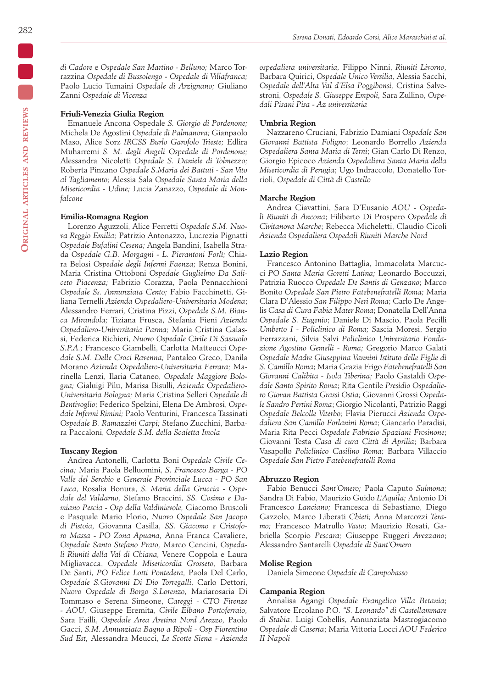*di Cadore* e *Ospedale San Martino - Belluno;* Marco Torrazzina *Ospedale di Bussolengo* - *Ospedale di Villafranca;*  Paolo Lucio Tumaini *Ospedale di Arzignano;* Giuliano Zanni *Ospedale di Vicenza*

#### **Friuli-Venezia Giulia Region**

Emanuele Ancona Ospedale *S. Giorgio di Pordenone;*  Michela De Agostini *Ospedale di Palmanova;* Gianpaolo Maso, Alice Sorz *IRCSS Burlo Garofolo Trieste;* Edlira Muharremi *S. M. degli Angeli Ospedale di Pordenone;*  Alessandra Nicoletti *Ospedale S. Daniele di Tolmezzo;*  Roberta Pinzano *Ospedale S.Maria dei Battuti - San Vito al Tagliamento;* Alessia Sala O*spedale Santa Maria della Misericordia - Udine;* Lucia Zanazzo, *Ospedale di Monfalcone*

#### **Emilia-Romagna Region**

Lorenzo Aguzzoli, Alice Ferretti *Ospedale S.M. Nuova Reggio Emilia;* Patrizio Antonazzo, Lucrezia Pignatti *Ospedale Bufalini Cesena;* Angela Bandini, Isabella Strada *Ospedale G.B. Morgagni - L. Pierantoni Forlì;* Chiara Belosi *Ospedale degli Infermi Faenza;* Renza Bonini, Maria Cristina Ottoboni *Ospedale Guglielmo Da Saliceto Piacenza;* Fabrizio Corazza, Paola Pennacchioni *Ospedale Ss. Annunziata Cento;* Fabio Facchinetti, Giliana Ternelli *Azienda Ospedaliero-Universitaria Modena*; Alessandro Ferrari*,* Cristina Pizzi, *Ospedale S.M. Bianca Mirandola;* Tiziana Frusca, Stefania Fieni *Azienda Ospedaliero-Universitaria Parma;* Maria Cristina Galassi, Federica Richieri, *Nuovo Ospedale Civile Di Sassuolo S.P.A.;* Francesco Giambelli, Carlotta Matteucci *Ospedale S.M. Delle Croci Ravenna;* Pantaleo Greco, Danila Morano *Azienda Ospedaliero-Universitaria Ferrara;* Marinella Lenzi, Ilaria Cataneo, *Ospedale Maggiore Bologna;* Gialuigi Pilu, Marisa Bisulli, *Azienda Ospedaliero-Universitaria Bologna;* Maria Cristina Selleri *Ospedale di Bentivoglio;* Federico Spelzini, Elena De Ambrosi, *Ospedale Infermi Rimini;* Paolo Venturini*,* Francesca Tassinati *Ospedale B. Ramazzini Carpi;* Stefano Zucchini, Barbara Paccaloni, *Ospedale S.M. della Scaletta Imola*

#### **Tuscany Region**

Andrea Antonelli, Carlotta Boni *Ospedale Civile Cecina;* Maria Paola Belluomini, *S. Francesco Barga - PO Valle del Serchio* e *Generale Provinciale Lucca - PO San Luca,* Rosalia Bonura, *S. Maria della Gruccia - Ospedale del Valdarno,* Stefano Braccini, *SS. Cosimo e Damiano Pescia - Osp della Valdinievole,* Giacomo Bruscoli e Pasquale Mario Florio, *Nuovo Ospedale San Jacopo di Pistoia,* Giovanna Casilla, *SS. Giacomo e Cristoforo Massa - PO Zona Apuana,* Anna Franca Cavaliere, *Ospedale Santo Stefano Prato,* Marco Cencini, *Ospedali Riuniti della Val di Chiana,* Venere Coppola e Laura Migliavacca, *Ospedale Misericordia Grosseto,* Barbara De Santi, *PO Felice Lotti Pontedera,* Paola Del Carlo, *Ospedale S.Giovanni Di Dio Torregalli,* Carlo Dettori, *Nuovo Ospedale di Borgo S.Lorenzo,* Mariarosaria Di Tommaso e Serena Simeone, *Careggi - CTO Firenze - AOU,* Giuseppe Eremita, *Civile Elbano Portoferraio,*  Sara Failli, *Ospedale Area Aretina Nord Arezzo,* Paolo Gacci, *S.M. Annunziata Bagno a Ripoli - Osp Fiorentino Sud Est,* Alessandra Meucci, *Le Scotte Siena - Azienda* 

*ospedaliera universitaria,* Filippo Ninni, *Riuniti Livorno,*  Barbara Quirici, *Ospedale Unico Versilia,* Alessia Sacchi, *Ospedale dell'Alta Val d'Elsa Poggibonsi,* Cristina Salvestroni, *Ospedale S. Giuseppe Empoli,* Sara Zullino, *Ospedali Pisani Pisa - Az universitaria*

### **Umbria Region**

Nazzareno Cruciani, Fabrizio Damiani *Ospedale San Giovanni Battista Foligno*; Leonardo Borrello *Azienda Ospedaliera Santa Maria di Terni*; Gian Carlo Di Renzo, Giorgio Epicoco *Azienda Ospedaliera Santa Maria della Misericordia di Perugia*; Ugo Indraccolo, Donatello Torrioli, *Ospedale di Città di Castello*

#### **Marche Region**

Andrea Ciavattini, Sara D'Eusanio *AOU - Ospedali Riuniti di Ancona*; Filiberto Di Prospero *Ospedale di Civitanova Marche*; Rebecca Micheletti, Claudio Cicoli *Azienda Ospedaliera Ospedali Riuniti Marche Nord*

#### **Lazio Region**

Francesco Antonino Battaglia, Immacolata Marcucci *PO Santa Maria Goretti Latina;* Leonardo Boccuzzi, Patrizia Ruocco *Ospedale De Santis di Genzano*; Marco Bonito *Ospedale San Pietro Fatebenefratelli Roma;* Maria Clara D'Alessio *San Filippo Neri Roma*; Carlo De Angelis *Casa di Cura Fabia Mater Roma*; Donatella Dell'Anna *Ospedale S. Eugenio*; Daniele Di Mascio, Paola Pecilli *Umberto I - Policlinico di Roma;* Sascia Moresi, Sergio Ferrazzani, Silvia Salvi *Policlinico Universitario Fondazione Agostino Gemelli - Roma;* Gregorio Marco Galati *Ospedale Madre Giuseppina Vannini Istituto delle Figlie di S. Camillo Roma*; Maria Grazia Frigo *Fatebenefratelli San Giovanni Calibita - Isola Tiberina;* Paolo Gastaldi *Ospedale Santo Spirito Roma*; Rita Gentile *Presidio Ospedaliero Giovan Battista Grassi Ostia;* Giovanni Grossi *Ospedale Sandro Pertini Roma*; Giorgio Nicolanti, Patrizio Raggi *Ospedale Belcolle Viterbo;* Flavia Pierucci *Azienda Ospedaliera San Camillo Forlanini Roma*; Giancarlo Paradisi, Maria Rita Pecci *Ospedale Fabrizio Spaziani Frosinone*; Giovanni Testa *Casa di cura Città di Aprilia*; Barbara Vasapollo *Policlinico Casilino Roma;* Barbara Villaccio *Ospedale San Pietro Fatebenefratelli Roma*

# **Abruzzo Region**

Fabio Benucci *Sant'Omero;* Paola Caputo *Sulmona;*  Sandra Di Fabio, Maurizio Guido *L'Aquila;* Antonio Di Francesco *Lanciano;* Francesca di Sebastiano, Diego Gazzolo, Marco Liberati *Chieti;* Anna Marcozzi *Teramo;* Francesco Matrullo *Vasto;* Maurizio Rosati, Gabriella Scorpio *Pescara;* Giuseppe Ruggeri *Avezzano*; Alessandro Santarelli *Ospedale di Sant'Omero*

### **Molise Region**

Daniela Simeone *Ospedale di Campobasso*

# **Campania Region**

Annalisa Agangi *Ospedale Evangelico Villa Betania*; Salvatore Ercolano *P.O. "S. Leonardo" di Castellammare di Stabia*, Luigi Cobellis, Annunziata Mastrogiacomo *Ospedale di Caserta*; Maria Vittoria Locci *AOU Federico II Napoli*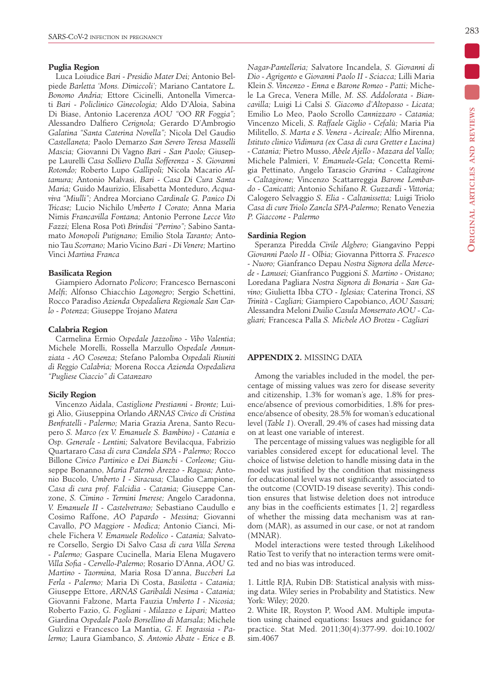# **Puglia Region**

Luca Loiudice *Bari - Presidio Mater Dei;* Antonio Belpiede *Barletta 'Mons. Dimiccoli';* Mariano Cantatore *L. Bonomo Andria;* Ettore Cicinelli, Antonella Vimercati *Bari - Policlinico Ginecologia;* Aldo D'Aloia, Sabina Di Biase, Antonio Lacerenza *AOU "OO RR Foggia";*  Alessandro Dalfiero *Cerignola;* Gerardo D'Ambrogio *Galatina "Santa Caterina Novella";* Nicola Del Gaudio *Castellaneta;* Paolo Demarzo *San Severo Teresa Masselli Mascia;* Giovanni Di Vagno *Bari - San Paolo;* Giuseppe Laurelli *Casa Sollievo Dalla Sofferenza - S. Giovanni Rotondo;* Roberto Lupo *Gallipoli;* Nicola Macario *Altamura;* Antonio Malvasi, *Bari - Casa Di Cura Santa Maria;* Guido Maurizio, Elisabetta Monteduro, *Acquaviva "Miulli";* Andrea Morciano *Cardinale G. Panico Di Tricase;* Lucio Nichilo *Umberto I Corato;* Anna Maria Nimis *Francavilla Fontana;* Antonio Perrone *Lecce Vito Fazzi;* Elena Rosa Potì *Brindisi "Perrino";* Sabino Santamato *Monopoli Putignano;* Emilio Stola *Taranto;* Antonio Tau *Scorrano;* Mario Vicino *Bari - Di Venere;* Martino Vinci *Martina Franca*

## **Basilicata Region**

Giampiero Adornato *Policoro*; Francesco Bernasconi *Melfi*; Alfonso Chiacchio *Lagonegro*; Sergio Schettini, Rocco Paradiso *Azienda Ospedaliera Regionale San Carlo - Potenza*; Giuseppe Trojano *Matera*

### **Calabria Region**

Carmelina Ermio *Ospedale Jazzolino - Vibo Valentia*; Michele Morelli, Rossella Marzullo *Ospedale Annunziata - AO Cosenza;* Stefano Palomba *Ospedali Riuniti di Reggio Calabria;* Morena Rocca *Azienda Ospedaliera "Pugliese Ciaccio" di Catanzaro*

# **Sicily Region**

Vincenzo Aidala, *Castiglione Prestianni - Bronte;* Luigi Alio, Giuseppina Orlando *ARNAS Civico di Cristina Benfratelli - Palermo;* Maria Grazia Arena, Santo Recupero *S. Marco (ex V. Emanuele S. Bambino) - Catania* e *Osp. Generale - Lentini;* Salvatore Bevilacqua, Fabrizio Quartararo *Casa di cura Candela SPA - Palermo;* Rocco Billone *Civico Partinico* e *Dei Bianchi - Corleone;* Giuseppe Bonanno, *Maria Paternò Arezzo - Ragusa;* Antonio Bucolo, *Umberto I - Siracusa;* Claudio Campione, *Casa di cura prof. Falcidia - Catania;* Giuseppe Canzone, *S. Cimino - Termini Imerese;* Angelo Caradonna, *V. Emanuele II - Castelvetrano;* Sebastiano Caudullo e Cosimo Raffone, *AO Papardo - Messina;* Giovanni Cavallo, *PO Maggiore - Modica;* Antonio Cianci, Michele Fichera *V. Emanuele Rodolico - Catania;* Salvatore Corsello, Sergio Di Salvo *Casa di cura Villa Serena - Palermo;* Gaspare Cucinella, Maria Elena Mugavero *Villa Sofia - Cervello-Palermo;* Rosario D'Anna, *AOU G. Martino - Taormina,* Maria Rosa D'anna, *Buccheri La Ferla - Palermo;* Maria Di Costa, *Basilotta - Catania;*  Giuseppe Ettore, *ARNAS Garibaldi Nesima - Catania;*  Giovanni Falzone, Marta Fauzia *Umberto I - Nicosia;* Roberto Fazio, *G. Fogliani - Milazzo* e *Lipari;* Matteo Giardina *Ospedale Paolo Borsellino di Marsala*; Michele Gulizzi e Francesco La Mantia, *G. F. Ingrassia - Palermo;* Laura Giambanco, *S. Antonio Abate - Erice* e *B.* 

**Original articles and reviews**

ORIGINAL ARTICLES AND REVIEWS

*Nagar-Pantelleria;* Salvatore Incandela, *S. Giovanni di Dio - Agrigento* e *Giovanni Paolo II - Sciacca;* Lilli Maria Klein *S. Vincenzo - Enna* e *Barone Romeo - Patti;* Michele La Greca, Venera Mille, *M. SS. Addolorata - Biancavilla;* Luigi Li Calsi *S. Giacomo d'Altopasso - Licata;*  Emilio Lo Meo, Paolo Scrollo *Cannizzaro - Catania;*  Vincenzo Miceli, *S. Raffaele Giglio - Cefalù;* Maria Pia Militello, *S. Marta e S. Venera - Acireale;* Alfio Mirenna, *Istituto clinico Vidimura (ex Casa di cura Gretter e Lucina) - Catania;* Pietro Musso, *Abele Ajello - Mazara del Vallo;*  Michele Palmieri, *V. Emanuele-Gela;* Concetta Remigia Pettinato, Angelo Tarascio *Gravina - Caltagirone - Caltagirone;* Vincenzo Scattarreggia *Barone Lombardo - Canicattì;* Antonio Schifano *R. Guzzardi - Vittoria;*  Calogero Selvaggio *S. Elia - Caltanissetta;* Luigi Triolo *Casa di cure Triolo Zancla SPA-Palermo;* Renato Venezia *P. Giaccone - Palermo*

### **Sardinia Region**

Speranza Piredda *Civile Alghero;* Giangavino Peppi *Giovanni Paolo II - Olbia;* Giovanna Pittorra *S. Fracesco - Nuoro;* Gianfranco Depau *Nostra Signora della Mercede - Lanusei;* Gianfranco Puggioni *S. Martino - Oristano;*  Loredana Pagliara *Nostra Signora di Bonaria - San Gavino;* Giulietta Ibba *CTO - Iglesias;* Caterina Tronci, *SS Trinità - Cagliari;* Giampiero Capobianco, *AOU Sassari;*  Alessandra Meloni *Duilio Casula Monserrato AOU - Cagliari;* Francesca Palla *S. Michele AO Brotzu - Cagliari*

#### **APPENDIX 2.** MISSING DATA

Among the variables included in the model, the percentage of missing values was zero for disease severity and citizenship, 1.3% for woman's age, 1.8% for presence/absence of previous comorbidities, 1.8% for presence/absence of obesity, 28.5% for woman's educational level (*Table 1*). Overall, 29.4% of cases had missing data on at least one variable of interest.

The percentage of missing values was negligible for all variables considered except for educational level. The choice of listwise deletion to handle missing data in the model was justified by the condition that missingness for educational level was not significantly associated to the outcome (COVID-19 disease severity). This condition ensures that listwise deletion does not introduce any bias in the coefficients estimates [1, 2] regardless of whether the missing data mechanism was at random (MAR), as assumed in our case, or not at random (MNAR).

Model interactions were tested through Likelihood Ratio Test to verify that no interaction terms were omitted and no bias was introduced.

1. Little RJA, Rubin DB: Statistical analysis with missing data. Wiley series in Probability and Statistics. New York: Wiley; 2020.

2. White IR, Royston P, Wood AM. Multiple imputation using chained equations: Issues and guidance for practice. Stat Med. 2011;30(4):377-99. doi:10.1002/ sim.4067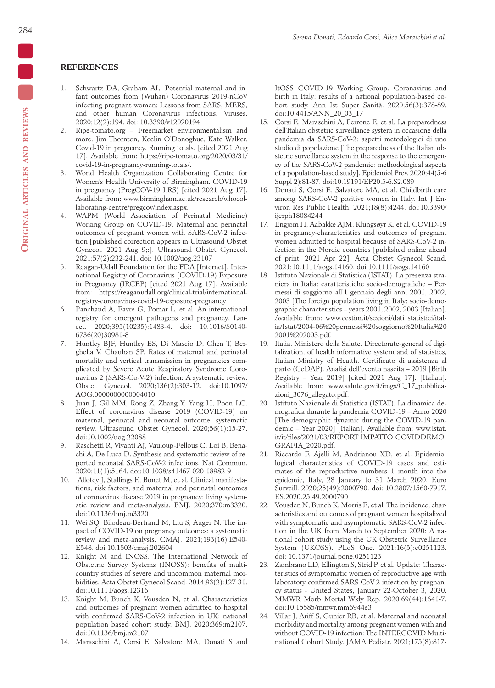# **REFERENCES**

- 1. Schwartz DA, Graham AL. Potential maternal and infant outcomes from (Wuhan) Coronavirus 2019-nCoV infecting pregnant women: Lessons from SARS, MERS, and other human Coronavirus infections. Viruses. 2020;12(2):194. doi: 10.3390/v12020194
- 2. Ripe-tomato.org Freemarket environmentalism and more. Jim Thornton, Keelin O'Donoghue, Kate Walker. Covid-19 in pregnancy. Running totals. [cited 2021 Aug 17]. Available from: https://ripe-tomato.org/2020/03/31/ covid-19-in-pregnancy-running-totals/.
- 3. World Health Organization Collaborating Centre for Women's Health University of Birmingham. COVID-19 in pregnancy (PregCOV-19 LRS) [cited 2021 Aug 17]. Available from: www.birmingham.ac.uk/research/whocollaborating-centre/pregcov/index.aspx.
- 4. WAPM (World Association of Perinatal Medicine) Working Group on COVID-19. Maternal and perinatal outcomes of pregnant women with SARS-CoV-2 infection [published correction appears in Ultrasound Obstet Gynecol. 2021 Aug 9;:]. Ultrasound Obstet Gynecol. 2021;57(2):232-241. doi: 10.1002/uog.23107
- 5. Reagan-Udall Foundation for the FDA [Internet]. International Registry of Coronavirus (COVID-19) Exposure in Pregnancy (IRCEP) [cited 2021 Aug 17]. Available from: https://reaganudall.org/clinical-trial/internationalregistry-coronavirus-covid-19-exposure-pregnancy
- 6. Panchaud A, Favre G, Pomar L, et al. An international registry for emergent pathogens and pregnancy. Lancet. 2020;395(10235):1483-4. doi: 10.1016/S0140- 6736(20)30981-8
- 7. Huntley BJF, Huntley ES, Di Mascio D, Chen T, Berghella V, Chauhan SP. Rates of maternal and perinatal mortality and vertical transmission in pregnancies complicated by Severe Acute Respiratory Syndrome Coronavirus 2 (SARS-Co-V-2) infection: A systematic review. Obstet Gynecol. 2020;136(2):303-12. doi:10.1097/ AOG.0000000000004010
- 8. Juan J, Gil MM, Rong Z, Zhang Y, Yang H, Poon LC. Effect of coronavirus disease 2019 (COVID-19) on maternal, perinatal and neonatal outcome: systematic review. Ultrasound Obstet Gynecol. 2020;56(1):15-27. doi:10.1002/uog.22088
- 9. Raschetti R, Vivanti AJ, Vauloup-Fellous C, Loi B, Benachi A, De Luca D. Synthesis and systematic review of reported neonatal SARS-CoV-2 infections. Nat Commun. 2020;11(1):5164. doi:10.1038/s41467-020-18982-9
- 10. Allotey J, Stallings E, Bonet M, et al. Clinical manifestations, risk factors, and maternal and perinatal outcomes of coronavirus disease 2019 in pregnancy: living systematic review and meta-analysis. BMJ. 2020;370:m3320. doi:10.1136/bmj.m3320
- 11. Wei SQ, Bilodeau-Bertrand M, Liu S, Auger N. The impact of COVID-19 on pregnancy outcomes: a systematic review and meta-analysis. CMAJ. 2021;193(16):E540- E548. doi:10.1503/cmaj.202604
- 12. Knight M and INOSS. The International Network of Obstetric Survey Systems (INOSS): benefits of multicountry studies of severe and uncommon maternal morbidities. Acta Obstet Gynecol Scand. 2014;93(2):127-31. doi:10.1111/aogs.12316
- 13. Knight M, Bunch K, Vousden N, et al. Characteristics and outcomes of pregnant women admitted to hospital with confirmed SARS-CoV-2 infection in UK: national population based cohort study. BMJ. 2020;369:m2107. doi:10.1136/bmj.m2107
- 14. Maraschini A, Corsi E, Salvatore MA, Donati S and

ItOSS COVID-19 Working Group. Coronavirus and birth in Italy: results of a national population-based cohort study. Ann Ist Super Sanità. 2020;56(3):378-89. doi:10.4415/ANN\_20\_03\_17

- 15. Corsi E, Maraschini A, Perrone E, et al. La preparedness dell'Italian obstetric surveillance system in occasione della pandemia da SARS-CoV-2: aspetti metodologici di uno studio di popolazione [The preparedness of the Italian obstetric surveillance system in the response to the emergency of the SARS-CoV-2 pandemic: methodological aspects of a population-based study]. Epidemiol Prev. 2020;44(5-6 Suppl 2):81-87. doi:10.19191/EP20.5-6.S2.089
- 16. Donati S, Corsi E, Salvatore MA, et al. Childbirth care among SARS-CoV-2 positive women in Italy. Int J Environ Res Public Health. 2021;18(8):4244. doi:10.3390/ ijerph18084244
- 17. Engjom H, Aabakke AJM, Klungsøyr K, et al. COVID-19 in pregnancy-characteristics and outcomes of pregnant women admitted to hospital because of SARS-CoV-2 infection in the Nordic countries [published online ahead of print, 2021 Apr 22]. Acta Obstet Gynecol Scand. 2021;10.1111/aogs.14160. doi:10.1111/aogs.14160
- 18. Istituto Nazionale di Statistica (ISTAT). La presenza straniera in Italia: caratteristiche socio-demografiche – Permessi di soggiorno all'1 gennaio degli anni 2001, 2002, 2003 [The foreign population living in Italy: socio-demographic characteristics – years 2001, 2002, 2003 [Italian]. Available from: www.cestim.it/sezioni/dati\_statistici/italia/Istat/2004-06%20permessi%20soggiorno%20Italia%20 2001%202003.pdf.
- 19. Italia. Ministero della Salute. Directorate-general of digitalization, of health informative system and of statistics, Italian Ministry of Health. Certificato di assistenza al parto (CeDAP). Analisi dell'evento nascita – 2019 [Birth Registry – Year 2019] [cited 2021 Aug 17]. [Italian]. Available from: www.salute.gov.it/imgs/C\_17\_pubblicazioni\_3076\_allegato.pdf.
- 20. Istituto Nazionale di Statistica (ISTAT). La dinamica demografica durante la pandemia COVID-19 – Anno 2020 [The demographic dynamic during the COVID-19 pandemic – Year 2020] [Italian]. Available from: www.istat. it/it/files/2021/03/REPORT-IMPATTO-COVIDDEMO-GRAFIA\_2020.pdf.
- 21. Riccardo F, Ajelli M, Andrianou XD, et al. Epidemiological characteristics of COVID-19 cases and estimates of the reproductive numbers 1 month into the epidemic, Italy, 28 January to 31 March 2020. Euro Surveill. 2020;25(49):2000790. doi: 10.2807/1560-7917. ES.2020.25.49.2000790
- 22. Vousden N, Bunch K, Morris E, et al. The incidence, characteristics and outcomes of pregnant women hospitalized with symptomatic and asymptomatic SARS-CoV-2 infection in the UK from March to September 2020: A national cohort study using the UK Obstetric Surveillance System (UKOSS). PLoS One. 2021;16(5):e0251123. doi: 10.1371/journal.pone.0251123
- 23. Zambrano LD, Ellington S, Strid P, et al. Update: Characteristics of symptomatic women of reproductive age with laboratory-confirmed SARS-CoV-2 infection by pregnancy status - United States, January 22-October 3, 2020. MMWR Morb Mortal Wkly Rep. 2020;69(44):1641-7. doi:10.15585/mmwr.mm6944e3
- 24. Villar J, Ariff S, Gunier RB, et al. Maternal and neonatal morbidity and mortality among pregnant women with and without COVID-19 infection: The INTERCOVID Multinational Cohort Study. JAMA Pediatr. 2021;175(8):817-